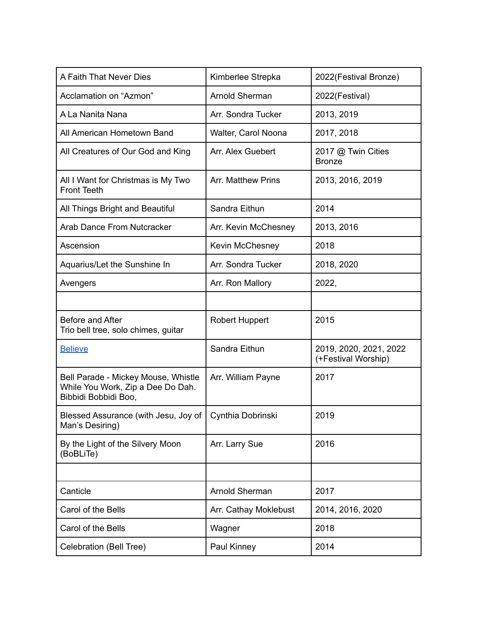| A Faith That Never Dies                                                                          | Kimberlee Strepka         | 2022(Festival Bronze)                         |
|--------------------------------------------------------------------------------------------------|---------------------------|-----------------------------------------------|
| Acclamation on "Azmon"                                                                           | Arnold Sherman            | 2022(Festival)                                |
| A La Nanita Nana                                                                                 | Arr. Sondra Tucker        | 2013, 2019                                    |
| All American Hometown Band                                                                       | Walter, Carol Noona       | 2017, 2018                                    |
| All Creatures of Our God and King                                                                | Arr. Alex Guebert         | 2017 @ Twin Cities<br><b>Bronze</b>           |
| All I Want for Christmas is My Two<br><b>Front Teeth</b>                                         | <b>Arr. Matthew Prins</b> | 2013, 2016, 2019                              |
| All Things Bright and Beautiful                                                                  | Sandra Eithun             | 2014                                          |
| <b>Arab Dance From Nutcracker</b>                                                                | Arr. Kevin McChesney      | 2013, 2016                                    |
| Ascension                                                                                        | Kevin McChesney           | 2018                                          |
| Aquarius/Let the Sunshine In                                                                     | Arr. Sondra Tucker        | 2018, 2020                                    |
| Avengers                                                                                         | Arr. Ron Mallory          | 2022,                                         |
|                                                                                                  |                           |                                               |
| Before and After<br>Trio bell tree, solo chimes, guitar                                          | <b>Robert Huppert</b>     | 2015                                          |
| <b>Believe</b>                                                                                   | Sandra Eithun             | 2019, 2020, 2021, 2022<br>(+Festival Worship) |
| Bell Parade - Mickey Mouse, Whistle<br>While You Work, Zip a Dee Do Dah.<br>Bibbidi Bobbidi Boo, | Arr. William Payne        | 2017                                          |
| Blessed Assurance (with Jesu, Joy of   Cynthia Dobrinski<br>Man's Desiring)                      |                           | 2019                                          |
| By the Light of the Silvery Moon<br>(BoBLiTe)                                                    | Arr. Larry Sue            | 2016                                          |
|                                                                                                  |                           |                                               |
| Canticle                                                                                         | Arnold Sherman            | 2017                                          |
| Carol of the Bells                                                                               | Arr. Cathay Moklebust     | 2014, 2016, 2020                              |
| Carol of the Bells                                                                               | Wagner                    | 2018                                          |
| Celebration (Bell Tree)                                                                          | Paul Kinney               | 2014                                          |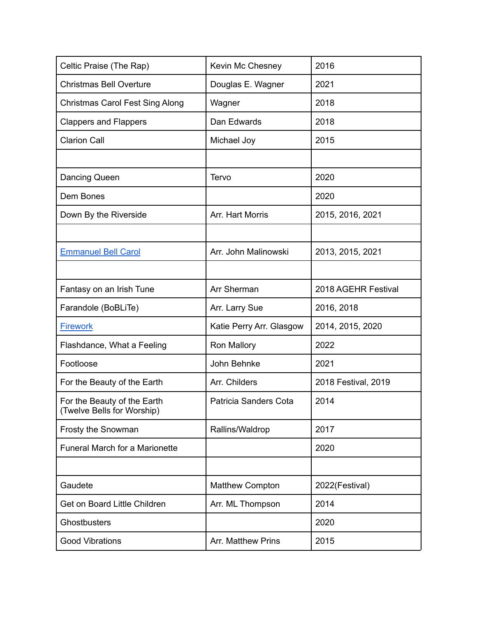| Celtic Praise (The Rap)                                   | Kevin Mc Chesney          | 2016                |
|-----------------------------------------------------------|---------------------------|---------------------|
| <b>Christmas Bell Overture</b>                            | Douglas E. Wagner         | 2021                |
| <b>Christmas Carol Fest Sing Along</b>                    | Wagner                    | 2018                |
| <b>Clappers and Flappers</b>                              | Dan Edwards               | 2018                |
| <b>Clarion Call</b>                                       | Michael Joy               | 2015                |
|                                                           |                           |                     |
| Dancing Queen                                             | Tervo                     | 2020                |
| Dem Bones                                                 |                           | 2020                |
| Down By the Riverside                                     | Arr. Hart Morris          | 2015, 2016, 2021    |
|                                                           |                           |                     |
| <b>Emmanuel Bell Carol</b>                                | Arr. John Malinowski      | 2013, 2015, 2021    |
|                                                           |                           |                     |
| Fantasy on an Irish Tune                                  | Arr Sherman               | 2018 AGEHR Festival |
| Farandole (BoBLiTe)                                       | Arr. Larry Sue            | 2016, 2018          |
| <b>Firework</b>                                           | Katie Perry Arr. Glasgow  | 2014, 2015, 2020    |
| Flashdance, What a Feeling                                | Ron Mallory               | 2022                |
| Footloose                                                 | John Behnke               | 2021                |
| For the Beauty of the Earth                               | Arr. Childers             | 2018 Festival, 2019 |
| For the Beauty of the Earth<br>(Twelve Bells for Worship) | Patricia Sanders Cota     | 2014                |
| Frosty the Snowman                                        | Rallins/Waldrop           | 2017                |
| <b>Funeral March for a Marionette</b>                     |                           | 2020                |
|                                                           |                           |                     |
| Gaudete                                                   | <b>Matthew Compton</b>    | 2022(Festival)      |
| Get on Board Little Children                              | Arr. ML Thompson          | 2014                |
| Ghostbusters                                              |                           | 2020                |
| <b>Good Vibrations</b>                                    | <b>Arr. Matthew Prins</b> | 2015                |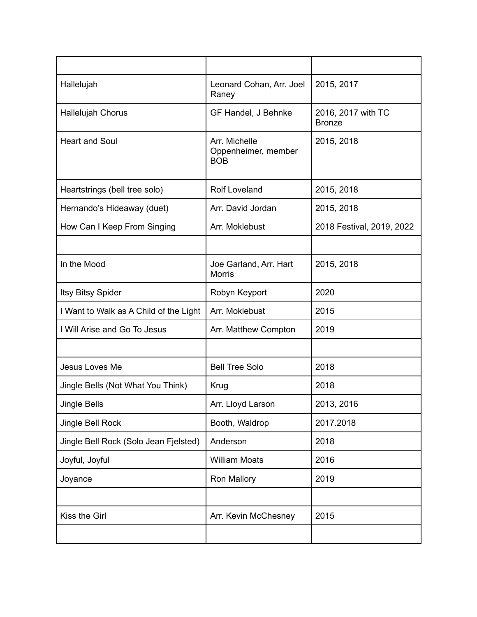| Hallelujah                             | Leonard Cohan, Arr. Joel<br>Raney                  | 2015, 2017                          |
|----------------------------------------|----------------------------------------------------|-------------------------------------|
| <b>Hallelujah Chorus</b>               | GF Handel, J Behnke                                | 2016, 2017 with TC<br><b>Bronze</b> |
| <b>Heart and Soul</b>                  | Arr. Michelle<br>Oppenheimer, member<br><b>BOB</b> | 2015, 2018                          |
| Heartstrings (bell tree solo)          | <b>Rolf Loveland</b>                               | 2015, 2018                          |
| Hernando's Hideaway (duet)             | Arr. David Jordan                                  | 2015, 2018                          |
| How Can I Keep From Singing            | Arr. Moklebust                                     | 2018 Festival, 2019, 2022           |
|                                        |                                                    |                                     |
| In the Mood                            | Joe Garland, Arr. Hart<br><b>Morris</b>            | 2015, 2018                          |
| Itsy Bitsy Spider                      | Robyn Keyport                                      | 2020                                |
| I Want to Walk as A Child of the Light | Arr. Moklebust                                     | 2015                                |
| I Will Arise and Go To Jesus           | Arr. Matthew Compton                               | 2019                                |
|                                        |                                                    |                                     |
| Jesus Loves Me                         | <b>Bell Tree Solo</b>                              | 2018                                |
| Jingle Bells (Not What You Think)      | Krug                                               | 2018                                |
| Jingle Bells                           | Arr. Lloyd Larson                                  | 2013, 2016                          |
| Jingle Bell Rock                       | Booth, Waldrop                                     | 2017.2018                           |
| Jingle Bell Rock (Solo Jean Fjelsted)  | Anderson                                           | 2018                                |
| Joyful, Joyful                         | <b>William Moats</b>                               | 2016                                |
| Joyance                                | Ron Mallory                                        | 2019                                |
|                                        |                                                    |                                     |
| Kiss the Girl                          | Arr. Kevin McChesney                               | 2015                                |
|                                        |                                                    |                                     |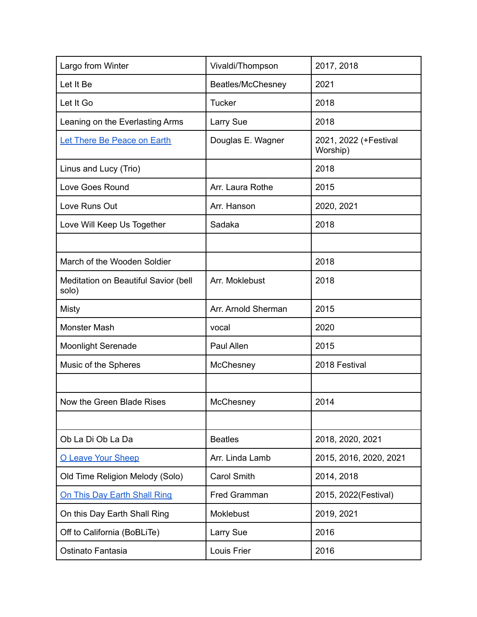| Largo from Winter                             | Vivaldi/Thompson    | 2017, 2018                        |
|-----------------------------------------------|---------------------|-----------------------------------|
| Let It Be                                     | Beatles/McChesney   | 2021                              |
| Let It Go                                     | <b>Tucker</b>       | 2018                              |
| Leaning on the Everlasting Arms               | Larry Sue           | 2018                              |
| Let There Be Peace on Earth                   | Douglas E. Wagner   | 2021, 2022 (+Festival<br>Worship) |
| Linus and Lucy (Trio)                         |                     | 2018                              |
| Love Goes Round                               | Arr. Laura Rothe    | 2015                              |
| Love Runs Out                                 | Arr. Hanson         | 2020, 2021                        |
| Love Will Keep Us Together                    | Sadaka              | 2018                              |
|                                               |                     |                                   |
| March of the Wooden Soldier                   |                     | 2018                              |
| Meditation on Beautiful Savior (bell<br>solo) | Arr. Moklebust      | 2018                              |
| Misty                                         | Arr. Arnold Sherman | 2015                              |
| Monster Mash                                  | vocal               | 2020                              |
| <b>Moonlight Serenade</b>                     | Paul Allen          | 2015                              |
| Music of the Spheres                          | McChesney           | 2018 Festival                     |
|                                               |                     |                                   |
| Now the Green Blade Rises                     | McChesney           | 2014                              |
|                                               |                     |                                   |
| Ob La Di Ob La Da                             | <b>Beatles</b>      | 2018, 2020, 2021                  |
| O Leave Your Sheep                            | Arr. Linda Lamb     | 2015, 2016, 2020, 2021            |
| Old Time Religion Melody (Solo)               | <b>Carol Smith</b>  | 2014, 2018                        |
| On This Day Earth Shall Ring                  | Fred Gramman        | 2015, 2022(Festival)              |
| On this Day Earth Shall Ring                  | Moklebust           | 2019, 2021                        |
| Off to California (BoBLiTe)                   | Larry Sue           | 2016                              |
| Ostinato Fantasia                             | Louis Frier         | 2016                              |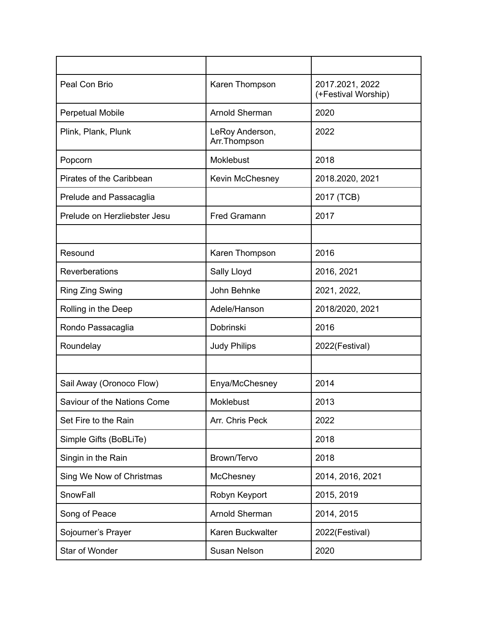| Peal Con Brio                | Karen Thompson                  | 2017.2021, 2022<br>(+Festival Worship) |
|------------------------------|---------------------------------|----------------------------------------|
| <b>Perpetual Mobile</b>      | Arnold Sherman                  | 2020                                   |
| Plink, Plank, Plunk          | LeRoy Anderson,<br>Arr.Thompson | 2022                                   |
| Popcorn                      | Moklebust                       | 2018                                   |
| Pirates of the Caribbean     | <b>Kevin McChesney</b>          | 2018.2020, 2021                        |
| Prelude and Passacaglia      |                                 | 2017 (TCB)                             |
| Prelude on Herzliebster Jesu | <b>Fred Gramann</b>             | 2017                                   |
|                              |                                 |                                        |
| Resound                      | Karen Thompson                  | 2016                                   |
| Reverberations               | Sally Lloyd                     | 2016, 2021                             |
| Ring Zing Swing              | John Behnke                     | 2021, 2022,                            |
| Rolling in the Deep          | Adele/Hanson                    | 2018/2020, 2021                        |
| Rondo Passacaglia            | Dobrinski                       | 2016                                   |
| Roundelay                    | <b>Judy Philips</b>             | 2022(Festival)                         |
|                              |                                 |                                        |
| Sail Away (Oronoco Flow)     | Enya/McChesney                  | 2014                                   |
| Saviour of the Nations Come  | <b>Moklebust</b>                | 2013                                   |
| Set Fire to the Rain         | Arr. Chris Peck                 | 2022                                   |
| Simple Gifts (BoBLiTe)       |                                 | 2018                                   |
| Singin in the Rain           | Brown/Tervo                     | 2018                                   |
| Sing We Now of Christmas     | McChesney                       | 2014, 2016, 2021                       |
| SnowFall                     | Robyn Keyport                   | 2015, 2019                             |
| Song of Peace                | Arnold Sherman                  | 2014, 2015                             |
| Sojourner's Prayer           | Karen Buckwalter                | 2022(Festival)                         |
| Star of Wonder               | Susan Nelson                    | 2020                                   |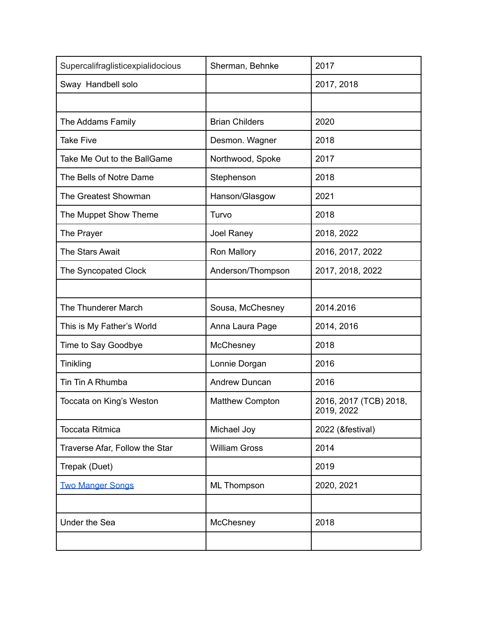| Supercalifraglisticexpialidocious | Sherman, Behnke        | 2017                                 |
|-----------------------------------|------------------------|--------------------------------------|
| Sway Handbell solo                |                        | 2017, 2018                           |
|                                   |                        |                                      |
| The Addams Family                 | <b>Brian Childers</b>  | 2020                                 |
| <b>Take Five</b>                  | Desmon. Wagner         | 2018                                 |
| Take Me Out to the BallGame       | Northwood, Spoke       | 2017                                 |
| The Bells of Notre Dame           | Stephenson             | 2018                                 |
| The Greatest Showman              | Hanson/Glasgow         | 2021                                 |
| The Muppet Show Theme             | Turvo                  | 2018                                 |
| The Prayer                        | Joel Raney             | 2018, 2022                           |
| The Stars Await                   | Ron Mallory            | 2016, 2017, 2022                     |
| The Syncopated Clock              | Anderson/Thompson      | 2017, 2018, 2022                     |
|                                   |                        |                                      |
| The Thunderer March               | Sousa, McChesney       | 2014.2016                            |
| This is My Father's World         | Anna Laura Page        | 2014, 2016                           |
| Time to Say Goodbye               | McChesney              | 2018                                 |
| Tinikling                         | Lonnie Dorgan          | 2016                                 |
| Tin Tin A Rhumba                  | <b>Andrew Duncan</b>   | 2016                                 |
| Toccata on King's Weston          | <b>Matthew Compton</b> | 2016, 2017 (TCB) 2018,<br>2019, 2022 |
| <b>Toccata Ritmica</b>            | Michael Joy            | 2022 (&festival)                     |
| Traverse Afar, Follow the Star    | <b>William Gross</b>   | 2014                                 |
| Trepak (Duet)                     |                        | 2019                                 |
| <b>Two Manger Songs</b>           | <b>ML Thompson</b>     | 2020, 2021                           |
|                                   |                        |                                      |
| <b>Under the Sea</b>              | McChesney              | 2018                                 |
|                                   |                        |                                      |